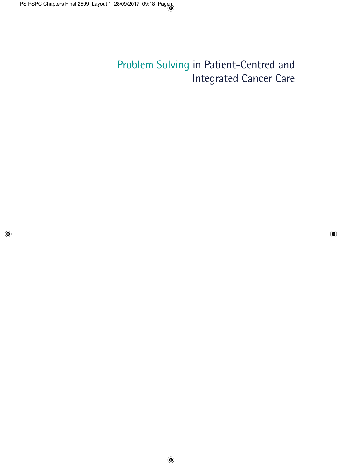### Problem Solving in Patient-Centred and Integrated Cancer Care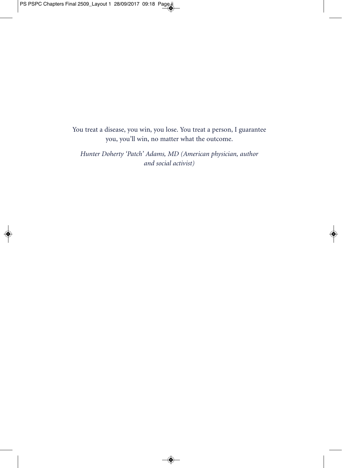You treat a disease, you win, you lose. You treat a person, I guarantee you, you'll win, no matter what the outcome.

*Hunter Doherty 'Patch' Adams, MD (American physician, author and social activist)*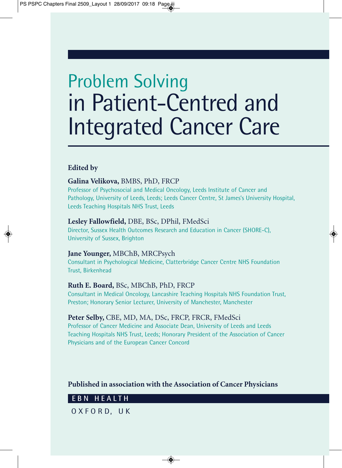# Problem Solving in Patient-Centred and Integrated Cancer Care

### **Edited by**

### **Galina Velikova,** BMBS, PhD, FRCP

Professor of Psychosocial and Medical Oncology, Leeds Institute of Cancer and Pathology, University of Leeds, Leeds; Leeds Cancer Centre, St James's University Hospital, Leeds Teaching Hospitals NHS Trust, Leeds

### **Lesley Fallowfield,** DBE, BSc, DPhil, FMedSci

Director, Sussex Health Outcomes Research and Education in Cancer (SHORE-C), University of Sussex, Brighton

### **Jane Younger,** MBChB, MRCPsych

Consultant in Psychological Medicine, Clatterbridge Cancer Centre NHS Foundation Trust, Birkenhead

### **Ruth E. Board,** BSc, MBChB, PhD, FRCP

Consultant in Medical Oncology, Lancashire Teaching Hospitals NHS Foundation Trust, Preston; Honorary Senior Lecturer, University of Manchester, Manchester

#### **Peter Selby,** CBE, MD, MA, DSc, FRCP, FRCR, FMedSci

Professor of Cancer Medicine and Associate Dean, University of Leeds and Leeds Teaching Hospitals NHS Trust, Leeds; Honorary President of the Association of Cancer Physicians and of the European Cancer Concord

### **Published in association with the Association of Cancer Physicians**

### **EBN HEALTH**

O X F O R D, U K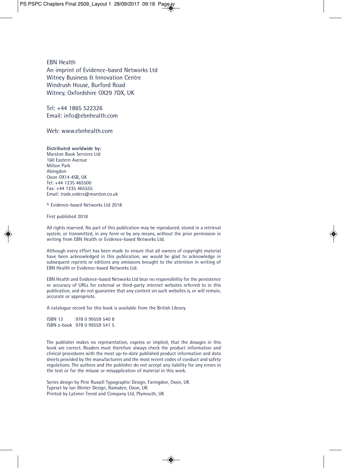EBN Health An imprint of Evidence-based Networks Ltd Witney Business & Innovation Centre Windrush House, Burford Road Witney, Oxfordshire OX29 7DX, UK

Tel: +44 1865 522326 Email: info@ebnhealth.com

Web: www.ebnhealth.com

**Distributed worldwide by:** Marston Book Services Ltd 160 Eastern Avenue Milton Park Abingdon Oxon OX14 4SB, UK Tel: +44 1235 465500 Fax: +44 1235 465555 Email: trade.orders@marston.co.uk

© Evidence-based Networks Ltd 2018

First published 2018

All rights reserved. No part of this publication may be reproduced, stored in a retrieval system, or transmitted, in any form or by any means, without the prior permission in writing from EBN Health or Evidence-based Networks Ltd.

Although every effort has been made to ensure that all owners of copyright material have been acknowledged in this publication, we would be glad to acknowledge in subsequent reprints or editions any omissions brought to the attention in writing of EBN Health or Evidence-based Networks Ltd.

EBN Health and Evidence-based Networks Ltd bear no responsibility for the persistence or accuracy of URLs for external or third-party internet websites referred to in this publication, and do not guarantee that any content on such websites is, or will remain, accurate or appropriate.

A catalogue record for this book is available from the British Library.

ISBN 13 978 0 99559 540 8 ISBN e-book 978 0 99559 541 5

The publisher makes no representation, express or implied, that the dosages in this book are correct. Readers must therefore always check the product information and clinical procedures with the most up-to-date published product information and data sheets provided by the manufacturers and the most recent codes of conduct and safety regulations. The authors and the publisher do not accept any liability for any errors in the text or for the misuse or misapplication of material in this work.

Series design by Pete Russell Typographic Design, Faringdon, Oxon, UK Typeset by Ian Winter Design, Ramsden, Oxon, UK Printed by Latimer Trend and Company Ltd, Plymouth, UK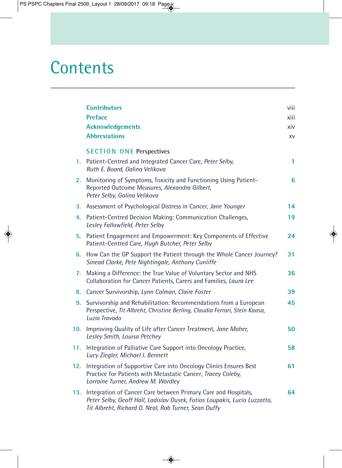## **Contents**

|     | <b>Contributors</b>                                                                                                                                                                                 | viii |
|-----|-----------------------------------------------------------------------------------------------------------------------------------------------------------------------------------------------------|------|
|     | <b>Preface</b>                                                                                                                                                                                      | xiii |
|     | <b>Acknowledgements</b>                                                                                                                                                                             | xiv  |
|     | <b>Abbreviations</b>                                                                                                                                                                                | XV   |
|     | <b>SECTION ONE Perspectives</b>                                                                                                                                                                     |      |
| 1.  | Patient-Centred and Integrated Cancer Care, Peter Selby,<br>Ruth E. Board, Galina Velikova                                                                                                          | 1    |
| 2.  | Monitoring of Symptoms, Toxicity and Functioning Using Patient-<br>Reported Outcome Measures, Alexandra Gilbert,<br>Peter Selby, Galina Velikova                                                    | 6    |
| 3.  | Assessment of Psychological Distress in Cancer, Jane Younger                                                                                                                                        | 14   |
| 4.  | Patient-Centred Decision Making: Communication Challenges,<br>Lesley Fallowfield, Peter Selby                                                                                                       | 19   |
| 5.  | Patient Engagement and Empowerment: Key Components of Effective<br>Patient-Centred Care, Hugh Butcher, Peter Selby                                                                                  | 24   |
| 6.  | How Can the GP Support the Patient through the Whole Cancer Journey?<br>Sinead Clarke, Pete Nightingale, Anthony Cunliffe                                                                           | 31   |
| 7.  | Making a Difference: the True Value of Voluntary Sector and NHS<br>Collaboration for Cancer Patients, Carers and Families, Laura Lee                                                                | 36   |
| 8.  | Cancer Survivorship, Lynn Calman, Claire Foster                                                                                                                                                     | 39   |
| 9.  | Survivorship and Rehabilitation: Recommendations from a European<br>Perspective, Tit Albreht, Christine Berling, Claudia Ferrari, Stein Kaasa,<br>Luzia Travado                                     | 45   |
| 10. | Improving Quality of Life after Cancer Treatment, Jane Maher,<br>Lesley Smith, Louisa Petchey                                                                                                       | 50   |
| 11. | Integration of Palliative Care Support into Oncology Practice,<br>Lucy Ziegler, Michael I. Bennett                                                                                                  | 58   |
| 12. | Integration of Supportive Care into Oncology Clinics Ensures Best<br>Practice for Patients with Metastatic Cancer, Tracey Coleby,<br>Lorraine Turner, Andrew M. Wardley                             | 61   |
| 13. | Integration of Cancer Care between Primary Care and Hospitals,<br>Peter Selby, Geoff Hall, Ladislav Dusek, Fotios Loupakis, Lucio Luzzatto,<br>Tit Albreht, Richard D. Neal, Rob Turner, Sean Duffy | 64   |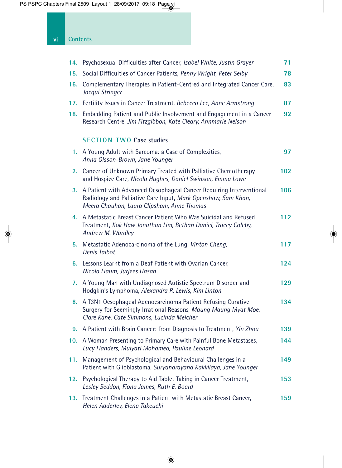| 14. | Psychosexual Difficulties after Cancer, Isabel White, Justin Grayer                                                                                                                | 71  |
|-----|------------------------------------------------------------------------------------------------------------------------------------------------------------------------------------|-----|
| 15. | Social Difficulties of Cancer Patients, Penny Wright, Peter Selby                                                                                                                  | 78  |
| 16. | Complementary Therapies in Patient-Centred and Integrated Cancer Care,<br>Jacqui Stringer                                                                                          | 83  |
| 17. | Fertility Issues in Cancer Treatment, Rebecca Lee, Anne Armstrong                                                                                                                  | 87  |
| 18. | Embedding Patient and Public Involvement and Engagement in a Cancer<br>Research Centre, Jim Fitzgibbon, Kate Cleary, Annmarie Nelson                                               | 92  |
|     | <b>SECTION TWO Case studies</b>                                                                                                                                                    |     |
|     | 1. A Young Adult with Sarcoma: a Case of Complexities,<br>Anna Olsson-Brown, Jane Younger                                                                                          | 97  |
| 2.  | Cancer of Unknown Primary Treated with Palliative Chemotherapy<br>and Hospice Care, Nicola Hughes, Daniel Swinson, Emma Lowe                                                       | 102 |
| 3.  | A Patient with Advanced Oesophageal Cancer Requiring Interventional<br>Radiology and Palliative Care Input, Mark Openshaw, Sam Khan,<br>Meera Chauhan, Laura Clipsham, Anne Thomas | 106 |
| 4.  | A Metastatic Breast Cancer Patient Who Was Suicidal and Refused<br>Treatment, Kok Haw Jonathan Lim, Bethan Daniel, Tracey Coleby,<br>Andrew M. Wardley                             | 112 |
| 5.  | Metastatic Adenocarcinoma of the Lung, Vinton Cheng,<br><b>Denis Talbot</b>                                                                                                        | 117 |
| 6.  | Lessons Learnt from a Deaf Patient with Ovarian Cancer,<br>Nicola Flaum, Jurjees Hasan                                                                                             | 124 |
| 7.  | A Young Man with Undiagnosed Autistic Spectrum Disorder and<br>Hodgkin's Lymphoma, Alexandra R. Lewis, Kim Linton                                                                  | 129 |
| 8.  | A T3N1 Oesophageal Adenocarcinoma Patient Refusing Curative<br>Surgery for Seemingly Irrational Reasons, Maung Maung Myat Moe,<br>Clare Kane, Cate Simmons, Lucinda Melcher        | 134 |
| 9.  | A Patient with Brain Cancer: from Diagnosis to Treatment, Yin Zhou                                                                                                                 | 139 |
| 10. | A Woman Presenting to Primary Care with Painful Bone Metastases,<br>Lucy Flanders, Mulyati Mohamed, Pauline Leonard                                                                | 144 |
| 11. | Management of Psychological and Behavioural Challenges in a<br>Patient with Glioblastoma, Suryanarayana Kakkilaya, Jane Younger                                                    | 149 |
| 12. | Psychological Therapy to Aid Tablet Taking in Cancer Treatment,<br>Lesley Seddon, Fiona James, Ruth E. Board                                                                       | 153 |
| 13. | Treatment Challenges in a Patient with Metastatic Breast Cancer,<br>Helen Adderley, Elena Takeuchi                                                                                 | 159 |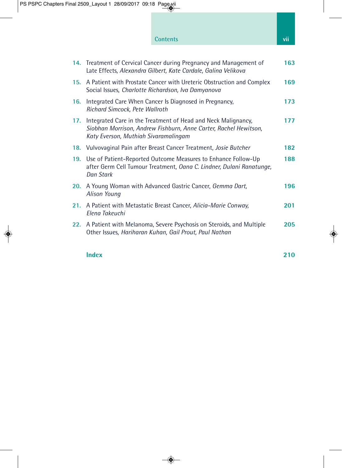### **Contents viii**

|     | 14. Treatment of Cervical Cancer during Pregnancy and Management of<br>Late Effects, Alexandra Gilbert, Kate Cardale, Galina Velikova                                            | 163 |
|-----|----------------------------------------------------------------------------------------------------------------------------------------------------------------------------------|-----|
| 15. | A Patient with Prostate Cancer with Ureteric Obstruction and Complex<br>Social Issues, Charlotte Richardson, Iva Damyanova                                                       | 169 |
| 16. | Integrated Care When Cancer Is Diagnosed in Pregnancy,<br>Richard Simcock, Pete Wallroth                                                                                         | 173 |
| 17. | Integrated Care in the Treatment of Head and Neck Malignancy,<br>177<br>Siobhan Morrison, Andrew Fishburn, Anne Carter, Rachel Hewitson,<br>Katy Everson, Muthiah Sivaramalingam |     |
|     | 18. Vulvovaginal Pain after Breast Cancer Treatment, <i>Josie Butcher</i>                                                                                                        | 182 |
| 19. | Use of Patient-Reported Outcome Measures to Enhance Follow-Up<br>after Germ Cell Tumour Treatment, Oana C. Lindner, Dulani Ranatunge,<br>Dan Stark                               | 188 |
| 20. | A Young Woman with Advanced Gastric Cancer, Gemma Dart,<br><b>Alison Young</b>                                                                                                   |     |
| 21. | A Patient with Metastatic Breast Cancer, Alicia-Marie Conway,<br>Elena Takeuchi                                                                                                  | 201 |
| 22. | A Patient with Melanoma, Severe Psychosis on Steroids, and Multiple<br>Other Issues, Hariharan Kuhan, Gail Prout, Paul Nathan                                                    | 205 |

#### **Index** 210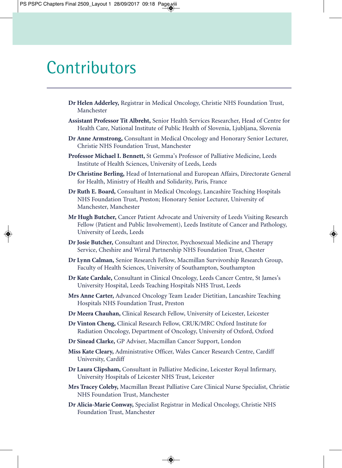### **Contributors**

- **Dr Helen Adderley,** Registrar in Medical Oncology, Christie NHS Foundation Trust, Manchester
- **Assistant Professor Tit Albreht,** Senior Health Services Researcher, Head of Centre for Health Care, National Institute of Public Health of Slovenia, Ljubljana, Slovenia
- **Dr Anne Armstrong,** Consultant in Medical Oncology and Honorary Senior Lecturer, Christie NHS Foundation Trust, Manchester
- **Professor Michael I. Bennett,** St Gemma's Professor of Palliative Medicine, Leeds Institute of Health Sciences, University of Leeds, Leeds
- **Dr Christine Berling,** Head of International and European Affairs, Directorate General for Health, Ministry of Health and Solidarity, Paris, France
- **Dr Ruth E. Board,** Consultant in Medical Oncology, Lancashire Teaching Hospitals NHS Foundation Trust, Preston; Honorary Senior Lecturer, University of Manchester, Manchester
- **Mr Hugh Butcher,** Cancer Patient Advocate and University of Leeds Visiting Research Fellow (Patient and Public Involvement), Leeds Institute of Cancer and Pathology, University of Leeds, Leeds
- **Dr Josie Butcher,** Consultant and Director, Psychosexual Medicine and Therapy Service, Cheshire and Wirral Partnership NHS Foundation Trust, Chester
- **Dr Lynn Calman,** Senior Research Fellow, Macmillan Survivorship Research Group, Faculty of Health Sciences, University of Southampton, Southampton
- **Dr Kate Cardale,** Consultant in Clinical Oncology, Leeds Cancer Centre, St James's University Hospital, Leeds Teaching Hospitals NHS Trust, Leeds
- **Mrs Anne Carter,** Advanced Oncology Team Leader Dietitian, Lancashire Teaching Hospitals NHS Foundation Trust, Preston
- **Dr Meera Chauhan,** Clinical Research Fellow, University of Leicester, Leicester
- **Dr Vinton Cheng,** Clinical Research Fellow, CRUK/MRC Oxford Institute for Radiation Oncology, Department of Oncology, University of Oxford, Oxford
- **Dr Sinead Clarke,** GP Adviser, Macmillan Cancer Support, London
- **Miss Kate Cleary,** Administrative Officer, Wales Cancer Research Centre, Cardiff University, Cardiff
- **Dr Laura Clipsham,** Consultant in Palliative Medicine, Leicester Royal Infirmary, University Hospitals of Leicester NHS Trust, Leicester
- **Mrs Tracey Coleby,** Macmillan Breast Palliative Care Clinical Nurse Specialist, Christie NHS Foundation Trust, Manchester
- **Dr Alicia-Marie Conway,** Specialist Registrar in Medical Oncology, Christie NHS Foundation Trust, Manchester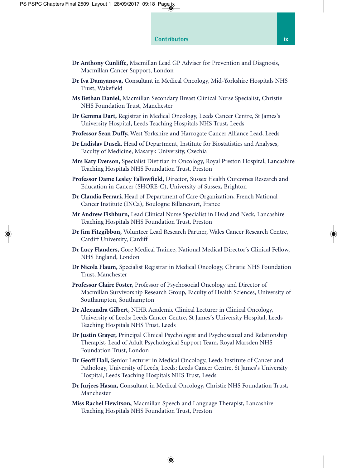- **Dr Anthony Cunliffe,** Macmillan Lead GP Adviser for Prevention and Diagnosis, Macmillan Cancer Support, London
- **Dr Iva Damyanova,** Consultant in Medical Oncology, Mid-Yorkshire Hospitals NHS Trust, Wakefield
- **Ms Bethan Daniel,** Macmillan Secondary Breast Clinical Nurse Specialist, Christie NHS Foundation Trust, Manchester
- **Dr Gemma Dart,** Registrar in Medical Oncology, Leeds Cancer Centre, St James's University Hospital, Leeds Teaching Hospitals NHS Trust, Leeds
- **Professor Sean Duffy,** West Yorkshire and Harrogate Cancer Alliance Lead, Leeds
- **Dr Ladislav Dusek,** Head of Department, Institute for Biostatistics and Analyses, Faculty of Medicine, Masaryk University, Czechia
- **Mrs Katy Everson,** Specialist Dietitian in Oncology, Royal Preston Hospital, Lancashire Teaching Hospitals NHS Foundation Trust, Preston
- **Professor Dame Lesley Fallowfield,** Director, Sussex Health Outcomes Research and Education in Cancer (SHORE-C), University of Sussex, Brighton
- **Dr Claudia Ferrari,** Head of Department of Care Organization, French National Cancer Institute (INCa), Boulogne Billancourt, France
- **Mr Andrew Fishburn,** Lead Clinical Nurse Specialist in Head and Neck, Lancashire Teaching Hospitals NHS Foundation Trust, Preston
- **Dr Jim Fitzgibbon,** Volunteer Lead Research Partner, Wales Cancer Research Centre, Cardiff University, Cardiff
- **Dr Lucy Flanders,** Core Medical Trainee, National Medical Director's Clinical Fellow, NHS England, London
- **Dr Nicola Flaum,** Specialist Registrar in Medical Oncology, Christie NHS Foundation Trust, Manchester
- **Professor Claire Foster,** Professor of Psychosocial Oncology and Director of Macmillan Survivorship Research Group, Faculty of Health Sciences, University of Southampton, Southampton
- **Dr Alexandra Gilbert,** NIHR Academic Clinical Lecturer in Clinical Oncology, University of Leeds; Leeds Cancer Centre, St James's University Hospital, Leeds Teaching Hospitals NHS Trust, Leeds
- **Dr Justin Grayer,** Principal Clinical Psychologist and Psychosexual and Relationship Therapist, Lead of Adult Psychological Support Team, Royal Marsden NHS Foundation Trust, London
- **Dr Geoff Hall,** Senior Lecturer in Medical Oncology, Leeds Institute of Cancer and Pathology, University of Leeds, Leeds; Leeds Cancer Centre, St James's University Hospital, Leeds Teaching Hospitals NHS Trust, Leeds
- **Dr Jurjees Hasan,** Consultant in Medical Oncology, Christie NHS Foundation Trust, Manchester
- **Miss Rachel Hewitson,** Macmillan Speech and Language Therapist, Lancashire Teaching Hospitals NHS Foundation Trust, Preston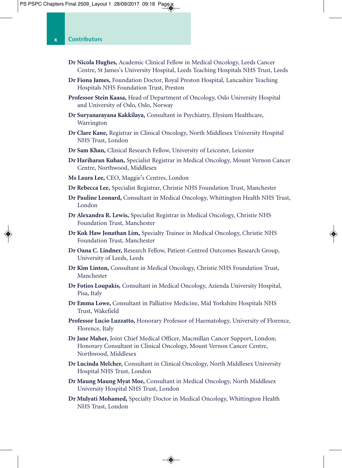- **Dr Nicola Hughes,** Academic Clinical Fellow in Medical Oncology, Leeds Cancer Centre, St James's University Hospital, Leeds Teaching Hospitals NHS Trust, Leeds
- **Dr Fiona James,** Foundation Doctor, Royal Preston Hospital, Lancashire Teaching Hospitals NHS Foundation Trust, Preston
- **Professor Stein Kaasa,** Head of Department of Oncology, Oslo University Hospital and University of Oslo, Oslo, Norway
- **Dr Suryanarayana Kakkilaya,** Consultant in Psychiatry, Elysium Healthcare, Warrington
- **Dr Clare Kane,** Registrar in Clinical Oncology, North Middlesex University Hospital NHS Trust, London
- **Dr Sam Khan,** Clinical Research Fellow, University of Leicester, Leicester
- **Dr Hariharan Kuhan,** Specialist Registrar in Medical Oncology, Mount Vernon Cancer Centre, Northwood, Middlesex
- **Ms Laura Lee,** CEO, Maggie's Centres, London
- **Dr Rebecca Lee,** Specialist Registrar, Christie NHS Foundation Trust, Manchester
- **Dr Pauline Leonard,** Consultant in Medical Oncology, Whittington Health NHS Trust, London
- **Dr Alexandra R. Lewis,** Specialist Registrar in Medical Oncology, Christie NHS Foundation Trust, Manchester
- **Dr Kok Haw Jonathan Lim,** Specialty Trainee in Medical Oncology, Christie NHS Foundation Trust, Manchester
- **Dr Oana C. Lindner,** Research Fellow, Patient-Centred Outcomes Research Group, University of Leeds, Leeds
- **Dr Kim Linton,** Consultant in Medical Oncology, Christie NHS Foundation Trust, Manchester
- **Dr Fotios Loupakis,** Consultant in Medical Oncology, Azienda University Hospital, Pisa, Italy
- **Dr Emma Lowe,** Consultant in Palliative Medicine, Mid Yorkshire Hospitals NHS Trust, Wakefield
- **Professor Lucio Luzzatto,** Honorary Professor of Haematology, University of Florence, Florence, Italy
- **Dr Jane Maher,** Joint Chief Medical Officer, Macmillan Cancer Support, London; Honorary Consultant in Clinical Oncology, Mount Vernon Cancer Centre, Northwood, Middlesex
- **Dr Lucinda Melcher,** Consultant in Clinical Oncology, North Middlesex University Hospital NHS Trust, London
- **Dr Maung Maung Myat Moe,** Consultant in Medical Oncology, North Middlesex University Hospital NHS Trust, London
- **Dr Mulyati Mohamed,** Specialty Doctor in Medical Oncology, Whittington Health NHS Trust, London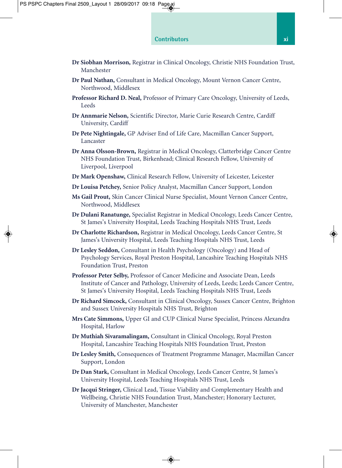- **Dr Siobhan Morrison,** Registrar in Clinical Oncology, Christie NHS Foundation Trust, Manchester
- **Dr Paul Nathan,** Consultant in Medical Oncology, Mount Vernon Cancer Centre, Northwood, Middlesex
- **Professor Richard D. Neal,** Professor of Primary Care Oncology, University of Leeds, **Leeds**
- **Dr Annmarie Nelson,** Scientific Director, Marie Curie Research Centre, Cardiff University, Cardiff
- **Dr Pete Nightingale,** GP Adviser End of Life Care, Macmillan Cancer Support, Lancaster
- **Dr Anna Olsson-Brown,** Registrar in Medical Oncology, Clatterbridge Cancer Centre NHS Foundation Trust, Birkenhead; Clinical Research Fellow, University of Liverpool, Liverpool
- **Dr Mark Openshaw,** Clinical Research Fellow, University of Leicester, Leicester
- **Dr Louisa Petchey,** Senior Policy Analyst, Macmillan Cancer Support, London
- **Ms Gail Prout,** Skin Cancer Clinical Nurse Specialist, Mount Vernon Cancer Centre, Northwood, Middlesex
- **Dr Dulani Ranatunge,** Specialist Registrar in Medical Oncology, Leeds Cancer Centre, St James's University Hospital, Leeds Teaching Hospitals NHS Trust, Leeds
- **Dr Charlotte Richardson,** Registrar in Medical Oncology, Leeds Cancer Centre, St James's University Hospital, Leeds Teaching Hospitals NHS Trust, Leeds
- **Dr Lesley Seddon,** Consultant in Health Psychology (Oncology) and Head of Psychology Services, Royal Preston Hospital, Lancashire Teaching Hospitals NHS Foundation Trust, Preston
- **Professor Peter Selby,** Professor of Cancer Medicine and Associate Dean, Leeds Institute of Cancer and Pathology, University of Leeds, Leeds; Leeds Cancer Centre, St James's University Hospital, Leeds Teaching Hospitals NHS Trust, Leeds
- **Dr Richard Simcock,** Consultant in Clinical Oncology, Sussex Cancer Centre, Brighton and Sussex University Hospitals NHS Trust, Brighton
- **Mrs Cate Simmons,** Upper GI and CUP Clinical Nurse Specialist, Princess Alexandra Hospital, Harlow
- **Dr Muthiah Sivaramalingam,** Consultant in Clinical Oncology, Royal Preston Hospital, Lancashire Teaching Hospitals NHS Foundation Trust, Preston
- **Dr Lesley Smith,** Consequences of Treatment Programme Manager, Macmillan Cancer Support, London
- **Dr Dan Stark,** Consultant in Medical Oncology, Leeds Cancer Centre, St James's University Hospital, Leeds Teaching Hospitals NHS Trust, Leeds
- **Dr Jacqui Stringer,** Clinical Lead, Tissue Viability and Complementary Health and Wellbeing, Christie NHS Foundation Trust, Manchester; Honorary Lecturer, University of Manchester, Manchester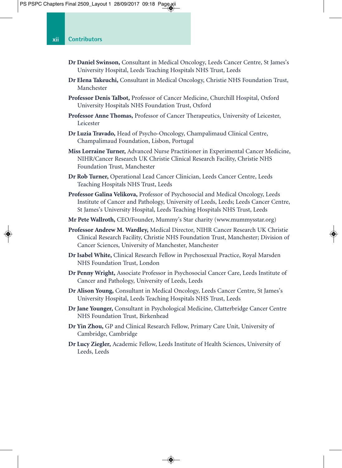- **Dr Daniel Swinson,** Consultant in Medical Oncology, Leeds Cancer Centre, St James's University Hospital, Leeds Teaching Hospitals NHS Trust, Leeds
- **Dr Elena Takeuchi,** Consultant in Medical Oncology, Christie NHS Foundation Trust, Manchester
- **Professor Denis Talbot,** Professor of Cancer Medicine, Churchill Hospital, Oxford University Hospitals NHS Foundation Trust, Oxford
- **Professor Anne Thomas,** Professor of Cancer Therapeutics, University of Leicester, Leicester
- **Dr Luzia Travado,** Head of Psycho-Oncology, Champalimaud Clinical Centre, Champalimaud Foundation, Lisbon, Portugal
- **Miss Lorraine Turner,** Advanced Nurse Practitioner in Experimental Cancer Medicine, NIHR/Cancer Research UK Christie Clinical Research Facility, Christie NHS Foundation Trust, Manchester
- **Dr Rob Turner,** Operational Lead Cancer Clinician, Leeds Cancer Centre, Leeds Teaching Hospitals NHS Trust, Leeds
- **Professor Galina Velikova,** Professor of Psychosocial and Medical Oncology, Leeds Institute of Cancer and Pathology, University of Leeds, Leeds; Leeds Cancer Centre, St James's University Hospital, Leeds Teaching Hospitals NHS Trust, Leeds
- **Mr Pete Wallroth,** CEO/Founder, Mummy's Star charity (www.mummysstar.org)
- **Professor Andrew M. Wardley,** Medical Director, NIHR Cancer Research UK Christie Clinical Research Facility, Christie NHS Foundation Trust, Manchester; Division of Cancer Sciences, University of Manchester, Manchester
- **Dr Isabel White,** Clinical Research Fellow in Psychosexual Practice, Royal Marsden NHS Foundation Trust, London
- **Dr Penny Wright,** Associate Professor in Psychosocial Cancer Care, Leeds Institute of Cancer and Pathology, University of Leeds, Leeds
- **Dr Alison Young,** Consultant in Medical Oncology, Leeds Cancer Centre, St James's University Hospital, Leeds Teaching Hospitals NHS Trust, Leeds
- **Dr Jane Younger,** Consultant in Psychological Medicine, Clatterbridge Cancer Centre NHS Foundation Trust, Birkenhead
- **Dr Yin Zhou,** GP and Clinical Research Fellow, Primary Care Unit, University of Cambridge, Cambridge
- **Dr Lucy Ziegler,** Academic Fellow, Leeds Institute of Health Sciences, University of Leeds, Leeds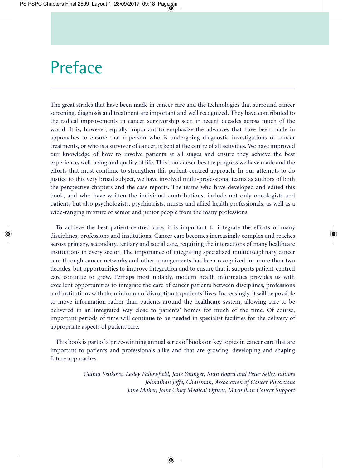## Preface

The great strides that have been made in cancer care and the technologies that surround cancer screening, diagnosis and treatment are important and well recognized. They have contributed to the radical improvements in cancer survivorship seen in recent decades across much of the world. It is, however, equally important to emphasize the advances that have been made in approaches to ensure that a person who is undergoing diagnostic investigations or cancer treatments, or who is a survivor of cancer, is kept at the centre of all activities. We have improved our knowledge of how to involve patients at all stages and ensure they achieve the best experience, well-being and quality of life. This book describes the progress we have made and the efforts that must continue to strengthen this patient-centred approach. In our attempts to do justice to this very broad subject, we have involved multi-professional teams as authors of both the perspective chapters and the case reports. The teams who have developed and edited this book, and who have written the individual contributions, include not only oncologists and patients but also psychologists, psychiatrists, nurses and allied health professionals, as well as a wide-ranging mixture of senior and junior people from the many professions.

To achieve the best patient-centred care, it is important to integrate the efforts of many disciplines, professions and institutions. Cancer care becomes increasingly complex and reaches across primary, secondary, tertiary and social care, requiring the interactions of many healthcare institutions in every sector. The importance of integrating specialized multidisciplinary cancer care through cancer networks and other arrangements has been recognized for more than two decades, but opportunities to improve integration and to ensure that it supports patient-centred care continue to grow. Perhaps most notably, modern health informatics provides us with excellent opportunities to integrate the care of cancer patients between disciplines, professions and institutions with the minimum of disruption to patients' lives. Increasingly, it will be possible to move information rather than patients around the healthcare system, allowing care to be delivered in an integrated way close to patients' homes for much of the time. Of course, important periods of time will continue to be needed in specialist facilities for the delivery of appropriate aspects of patient care.

This book is part of a prize-winning annual series of books on key topics in cancer care that are important to patients and professionals alike and that are growing, developing and shaping future approaches.

> *Galina Velikova, Lesley Fallowfield, Jane Younger, Ruth Board and Peter Selby, Editors Johnathan Joffe, Chairman, Association of Cancer Physicians Jane Maher, Joint Chief Medical Officer, Macmillan Cancer Support*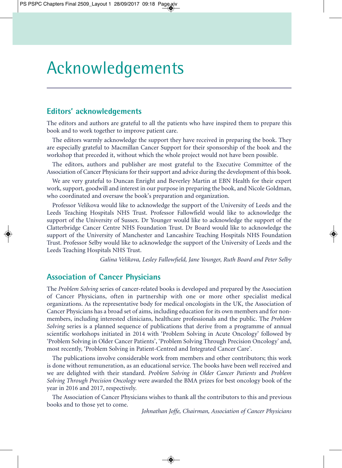## Acknowledgements

### **Editors' acknowledgements**

The editors and authors are grateful to all the patients who have inspired them to prepare this book and to work together to improve patient care.

The editors warmly acknowledge the support they have received in preparing the book. They are especially grateful to Macmillan Cancer Support for their sponsorship of the book and the workshop that preceded it, without which the whole project would not have been possible.

The editors, authors and publisher are most grateful to the Executive Committee of the Association of Cancer Physicians for their support and advice during the development of this book.

We are very grateful to Duncan Enright and Beverley Martin at EBN Health for their expert work, support, goodwill and interest in our purpose in preparing the book, and Nicole Goldman, who coordinated and oversaw the book's preparation and organization.

Professor Velikova would like to acknowledge the support of the University of Leeds and the Leeds Teaching Hospitals NHS Trust. Professor Fallowfield would like to acknowledge the support of the University of Sussex. Dr Younger would like to acknowledge the support of the Clatterbridge Cancer Centre NHS Foundation Trust. Dr Board would like to acknowledge the support of the University of Manchester and Lancashire Teaching Hospitals NHS Foundation Trust. Professor Selby would like to acknowledge the support of the University of Leeds and the Leeds Teaching Hospitals NHS Trust.

*Galina Velikova, Lesley Fallowfield, Jane Younger, Ruth Board and Peter Selby*

### **Association of Cancer Physicians**

The *Problem Solving* series of cancer-related books is developed and prepared by the Association of Cancer Physicians, often in partnership with one or more other specialist medical organizations. As the representative body for medical oncologists in the UK, the Association of Cancer Physicians has a broad set of aims, including education for its own members and for nonmembers, including interested clinicians, healthcare professionals and the public. The *Problem Solving* series is a planned sequence of publications that derive from a programme of annual scientific workshops initiated in 2014 with 'Problem Solving in Acute Oncology' followed by 'Problem Solving in Older Cancer Patients', 'Problem Solving Through Precision Oncology' and, most recently, 'Problem Solving in Patient-Centred and Integrated Cancer Care'.

The publications involve considerable work from members and other contributors; this work is done without remuneration, as an educational service. The books have been well received and we are delighted with their standard. *Problem Solving in Older Cancer Patients* and *Problem Solving Through Precision Oncology* were awarded the BMA prizes for best oncology book of the year in 2016 and 2017, respectively.

The Association of Cancer Physicians wishes to thank all the contributors to this and previous books and to those yet to come.

*Johnathan Joffe, Chairman, Association of Cancer Physicians*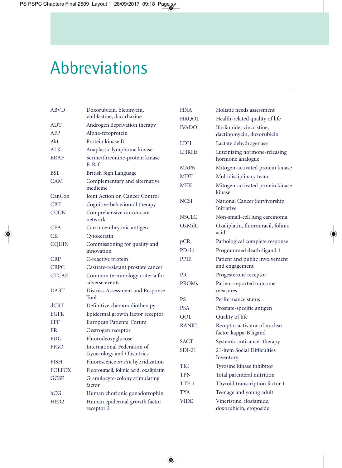# Abbreviations

| ABVD                      | Doxorubicin, bleomycin,                                    | <b>HNA</b>   | Holistic needs assessment                              |
|---------------------------|------------------------------------------------------------|--------------|--------------------------------------------------------|
|                           | vinblastine, dacarbazine                                   | <b>HRQOL</b> | Health-related quality of life                         |
| ADT                       | Androgen deprivation therapy                               | <b>IVADO</b> | Ifosfamide, vincristine,                               |
| AFP                       | Alpha-fetoprotein                                          |              | dactinomycin, doxorubicin                              |
| Akt                       | Protein kinase B                                           | <b>LDH</b>   | Lactate dehydrogenase                                  |
| ALK                       | Anaplastic lymphoma kinase                                 | <b>LHRHa</b> | Luteinizing hormone-releasing                          |
| <b>BRAF</b>               | Serine/threonine-protein kinase                            |              | hormone analogue                                       |
|                           | $B-Raf$                                                    | <b>MAPK</b>  | Mitogen-activated protein kinase                       |
| BSL                       | British Sign Language                                      | <b>MDT</b>   | Multidisciplinary team                                 |
| <b>CAM</b>                | Complementary and alternative<br>medicine                  | <b>MEK</b>   | Mitogen-activated protein kinase<br>kinase             |
| CanCon                    | Joint Action on Cancer Control                             |              |                                                        |
| <b>CBT</b><br><b>CCCN</b> | Cognitive behavioural therapy<br>Comprehensive cancer care | <b>NCSI</b>  | National Cancer Survivorship<br>Initiative             |
|                           | network                                                    | <b>NSCLC</b> | Non-small-cell lung carcinoma                          |
| <b>CEA</b>                | Carcinoembryonic antigen                                   | OxMdG        | Oxaliplatin, fluorouracil, folinic                     |
| СK                        | Cytokeratin                                                |              | acid                                                   |
| <b>CQUIN</b>              | Commissioning for quality and                              | pCR          | Pathological complete response                         |
|                           | innovation                                                 | $PD-L1$      | Programmed death-ligand 1                              |
| <b>CRP</b>                | C-reactive protein                                         | <b>PPIE</b>  | Patient and public involvement                         |
| <b>CRPC</b>               | Castrate-resistant prostate cancer                         |              | and engagement                                         |
| <b>CTCAE</b>              | Common terminology criteria for<br>adverse events          | <b>PR</b>    | Progesterone receptor                                  |
| <b>DART</b>               |                                                            | PROMs        | Patient-reported outcome<br>measures                   |
|                           | Distress Assessment and Response<br>Tool                   | <b>PS</b>    |                                                        |
| dCRT                      | Definitive chemoradiotherapy                               |              | Performance status                                     |
| EGFR                      | Epidermal growth factor receptor                           | <b>PSA</b>   | Prostate-specific antigen                              |
| <b>EPF</b>                | European Patients' Forum                                   | QOL          | Quality of life                                        |
| ER                        | Oestrogen receptor                                         | <b>RANKL</b> | Receptor activator of nuclear<br>factor kappa-B ligand |
| <b>FDG</b>                | Fluorodeoxyglucose                                         | <b>SACT</b>  | Systemic anticancer therapy                            |
| <b>FIGO</b>               | International Federation of                                | $SDI-21$     | 21-item Social Difficulties                            |
|                           | Gynecology and Obstetrics                                  |              | Inventory                                              |
| <b>FISH</b>               | Fluorescence in situ hybridization                         | <b>TKI</b>   | Tyrosine kinase inhibitor                              |
| <b>FOLFOX</b>             | Fluorouracil, folinic acid, oxaliplatin                    | <b>TPN</b>   | Total parenteral nutrition                             |
| <b>GCSF</b>               | Granulocyte-colony stimulating                             | TTF-1        | Thyroid transcription factor 1                         |
|                           | factor                                                     | <b>TYA</b>   | Teenage and young adult                                |
| hCG                       | Human chorionic gonadotrophin                              |              |                                                        |
| HER <sub>2</sub>          | Human epidermal growth factor<br>receptor 2                | <b>VIDE</b>  | Vincristine, ifosfamide,<br>doxorubicin, etoposide     |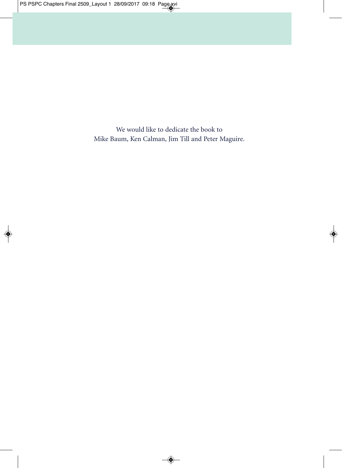We would like to dedicate the book to Mike Baum, Ken Calman, Jim Till and Peter Maguire.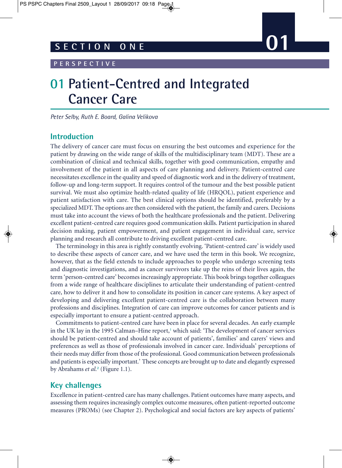#### **PERSPECTIVE**

### **01 Patient-Centred and Integrated Cancer Care**

*Peter Selby, Ruth E. Board, Galina Velikova*

### **Introduction**

The delivery of cancer care must focus on ensuring the best outcomes and experience for the patient by drawing on the wide range of skills of the multidisciplinary team (MDT). These are a combination of clinical and technical skills, together with good communication, empathy and involvement of the patient in all aspects of care planning and delivery. Patient-centred care necessitates excellence in the quality and speed of diagnostic work and in the delivery of treatment, follow-up and long-term support. It requires control of the tumour and the best possible patient survival. We must also optimize health-related quality of life (HRQOL), patient experience and patient satisfaction with care. The best clinical options should be identified, preferably by a specialized MDT. The options are then considered with the patient, the family and carers. Decisions must take into account the views of both the healthcare professionals and the patient. Delivering excellent patient-centred care requires good communication skills. Patient participation in shared decision making, patient empowerment, and patient engagement in individual care, service planning and research all contribute to driving excellent patient-centred care.

The terminology in this area is rightly constantly evolving. 'Patient-centred care' is widely used to describe these aspects of cancer care, and we have used the term in this book. We recognize, however, that as the field extends to include approaches to people who undergo screening tests and diagnostic investigations, and as cancer survivors take up the reins of their lives again, the term 'person-centred care' becomes increasingly appropriate. This book brings together colleagues from a wide range of healthcare disciplines to articulate their understanding of patient-centred care, how to deliver it and how to consolidate its position in cancer care systems. A key aspect of developing and delivering excellent patient-centred care is the collaboration between many professions and disciplines. Integration of care can improve outcomes for cancer patients and is especially important to ensure a patient-centred approach.

Commitments to patient-centred care have been in place for several decades. An early example in the UK lay in the 1995 Calman–Hine report,**<sup>1</sup>** which said: 'The development of cancer services should be patient-centred and should take account of patients', families' and carers' views and preferences as well as those of professionals involved in cancer care. Individuals' perceptions of their needs may differ from those of the professional. Good communication between professionals and patients is especially important.' These concepts are brought up to date and elegantly expressed by Abrahams *et al.***<sup>2</sup>** (Figure 1.1).

### **Key challenges**

Excellence in patient-centred care has many challenges. Patient outcomes have many aspects, and assessing them requires increasingly complex outcome measures, often patient-reported outcome measures (PROMs) (see Chapter 2). Psychological and social factors are key aspects of patients'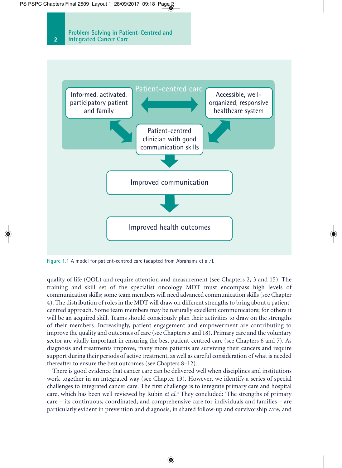

**Figure 1.1** A model for patient-centred care (adapted from Abrahams et al.**<sup>2</sup>**).

quality of life (QOL) and require attention and measurement (see Chapters 2, 3 and 15). The training and skill set of the specialist oncology MDT must encompass high levels of communication skills; some team members will need advanced communication skills (see Chapter 4). The distribution of roles in the MDT will draw on different strengths to bring about a patientcentred approach. Some team members may be naturally excellent communicators; for others it will be an acquired skill. Teams should consciously plan their activities to draw on the strengths of their members. Increasingly, patient engagement and empowerment are contributing to improve the quality and outcomes of care (see Chapters 5 and 18). Primary care and the voluntary sector are vitally important in ensuring the best patient-centred care (see Chapters 6 and 7). As diagnosis and treatments improve, many more patients are surviving their cancers and require support during their periods of active treatment, as well as careful consideration of what is needed thereafter to ensure the best outcomes (see Chapters 8–12).

There is good evidence that cancer care can be delivered well when disciplines and institutions work together in an integrated way (see Chapter 13). However, we identify a series of special challenges to integrated cancer care. The first challenge is to integrate primary care and hospital care, which has been well reviewed by Rubin *et al.***<sup>3</sup>** They concluded: 'The strengths of primary care – its continuous, coordinated, and comprehensive care for individuals and families – are particularly evident in prevention and diagnosis, in shared follow-up and survivorship care, and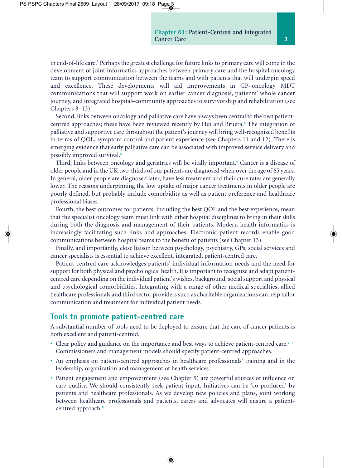in end-of-life care.' Perhaps the greatest challenge for future links to primary care will come in the development of joint informatics approaches between primary care and the hospital oncology team to support communication between the teams and with patients that will underpin speed and excellence. These developments will aid improvements in GP–oncology MDT communications that will support work on earlier cancer diagnosis, patients' whole cancer journey, and integrated hospital–community approaches to survivorship and rehabilitation (see Chapters 8–13).

Second, links between oncology and palliative care have always been central to the best patientcentred approaches; these have been reviewed recently by Hui and Bruera.**<sup>4</sup>** The integration of palliative and supportive care throughout the patient's journey will bring well-recognized benefits in terms of QOL, symptom control and patient experience (see Chapters 11 and 12). There is emerging evidence that early palliative care can be associated with improved service delivery and possibly improved survival.**<sup>5</sup>**

Third, links between oncology and geriatrics will be vitally important.**<sup>6</sup>** Cancer is a disease of older people and in the UK two-thirds of our patients are diagnosed when over the age of 65 years. In general, older people are diagnosed later, have less treatment and their cure rates are generally lower. The reasons underpinning the low uptake of major cancer treatments in older people are poorly defined, but probably include comorbidity as well as patient preference and healthcare professional biases.

Fourth, the best outcomes for patients, including the best QOL and the best experience, mean that the specialist oncology team must link with other hospital disciplines to bring in their skills during both the diagnosis and management of their patients. Modern health informatics is increasingly facilitating such links and approaches. Electronic patient records enable good communications between hospital teams to the benefit of patients (see Chapter 13).

Finally, and importantly, close liaison between psychology, psychiatry, GPs, social services and cancer specialists is essential to achieve excellent, integrated, patient-centred care.

Patient-centred care acknowledges patients' individual information needs and the need for support for both physical and psychological health. It is important to recognize and adapt patientcentred care depending on the individual patient's wishes, background, social support and physical and psychological comorbidities. Integrating with a range of other medical specialties, allied healthcare professionals and third sector providers such as charitable organizations can help tailor communication and treatment for individual patient needs.

### **Tools to promote patient-centred care**

A substantial number of tools need to be deployed to ensure that the care of cancer patients is both excellent and patient-centred.

- Clear policy and guidance on the importance and best ways to achieve patient-centred care.**7–11** Commissioners and management models should specify patient-centred approaches.
- An emphasis on patient-centred approaches in healthcare professionals' training and in the leadership, organization and management of health services.
- Patient engagement and empowerment (see Chapter 5) are powerful sources of influence on care quality. We should consistently seek patient input. Initiatives can be 'co-produced' by patients and healthcare professionals. As we develop new policies and plans, joint working between healthcare professionals and patients, carers and advocates will ensure a patientcentred approach.**<sup>8</sup>**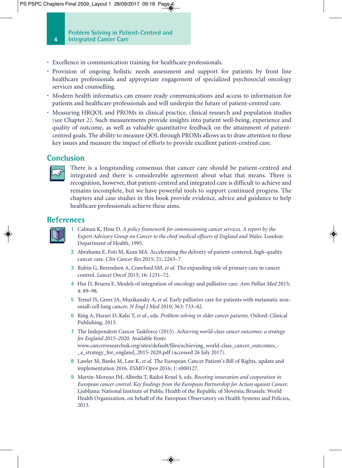- Excellence in communication training for healthcare professionals.
- Provision of ongoing holistic needs assessment and support for patients by front line healthcare professionals and appropriate engagement of specialized psychosocial oncology services and counselling.
- Modern health informatics can ensure ready communications and access to information for patients and healthcare professionals and will underpin the future of patient-centred care.
- Measuring HRQOL and PROMs in clinical practice, clinical research and population studies (see Chapter 2). Such measurements provide insights into patient well-being, experience and quality of outcome, as well as valuable quantitative feedback on the attainment of patientcentred goals. The ability to measure QOL through PROMs allows us to draw attention to these key issues and measure the impact of efforts to provide excellent patient-centred care.

### **Conclusion**



There is a longstanding consensus that cancer care should be patient-centred and integrated and there is considerable agreement about what that means. There is recognition, however, that patient-centred and integrated care is difficult to achieve and remains incomplete, but we have powerful tools to support continued progress. The chapters and case studies in this book provide evidence, advice and guidance to help healthcare professionals achieve these aims.

### **References**



**1** Calman K, Hine D. *A policy framework for commissioning cancer services. A report by the Expert Advisory Group on Cancer to the chief medical officers of England and Wales.* London: Department of Health, 1995.

- **2** Abrahams E, Foti M, Kean MA. Accelerating the delivery of patient-centered, high-quality cancer care. *Clin Cancer Res* 2015; 21: 2263–7.
- **3** Rubin G, Berendsen A, Crawford SM, *et al.* The expanding role of primary care in cancer control. *Lancet Oncol* 2015; 16: 1231–72.
- **4** Hui D, Bruera E. Models of integration of oncology and palliative care. *Ann Palliat Med* 2015; 4: 89–98.
- **5** Temel JS, Greer JA, Muzikansky A, *et al.* Early palliative care for patients with metastatic nonsmall-cell lung cancer. *N Engl J Med* 2010; 363: 733–42.
- **6** Ring A, Harari D, Kalsi T, *et al.*, eds. *Problem solving in older cancer patients.* Oxford: Clinical Publishing, 2015.
- **7** The Independent Cancer Taskforce (2015). *Achieving world-class cancer outcomes: a strategy for England 2015–2020.* Available from: www.cancerresearchuk.org/sites/default/files/achieving\_world-class\_cancer\_outcomes\_- \_a\_strategy\_for\_england\_2015-2020.pdf (accessed 26 July 2017).
- **8** Lawler M, Banks M, Law K, *et al.* The European Cancer Patient's Bill of Rights, update and implementation 2016. *ESMO Open* 2016; 1: e000127.
- **9** Martin-Moreno JM, Albreht T, Radoš Krnel S, eds. *Boosting innovation and cooperation in European cancer control. Key findings from the European Partnership for Action against Cancer.* Ljubljana: National Institute of Public Health of the Republic of Slovenia; Brussels: World Health Organization, on behalf of the European Observatory on Health Systems and Policies, 2013.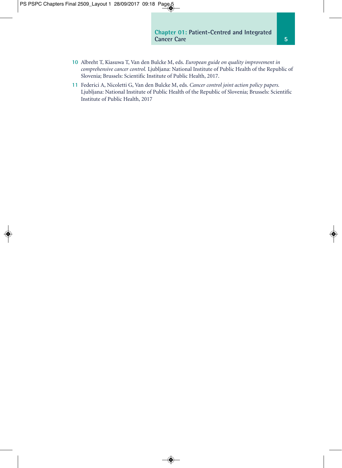- **10** Albreht T, Kiasuwa T, Van den Bulcke M, eds. *European guide on quality improvement in comprehensive cancer control.* Ljubljana: National Institute of Public Health of the Republic of Slovenia; Brussels: Scientific Institute of Public Health, 2017.
- **11** Federici A, Nicoletti G, Van den Bulcke M, eds. *Cancer control joint action policy papers.* Ljubljana: National Institute of Public Health of the Republic of Slovenia; Brussels: Scientific Institute of Public Health, 2017